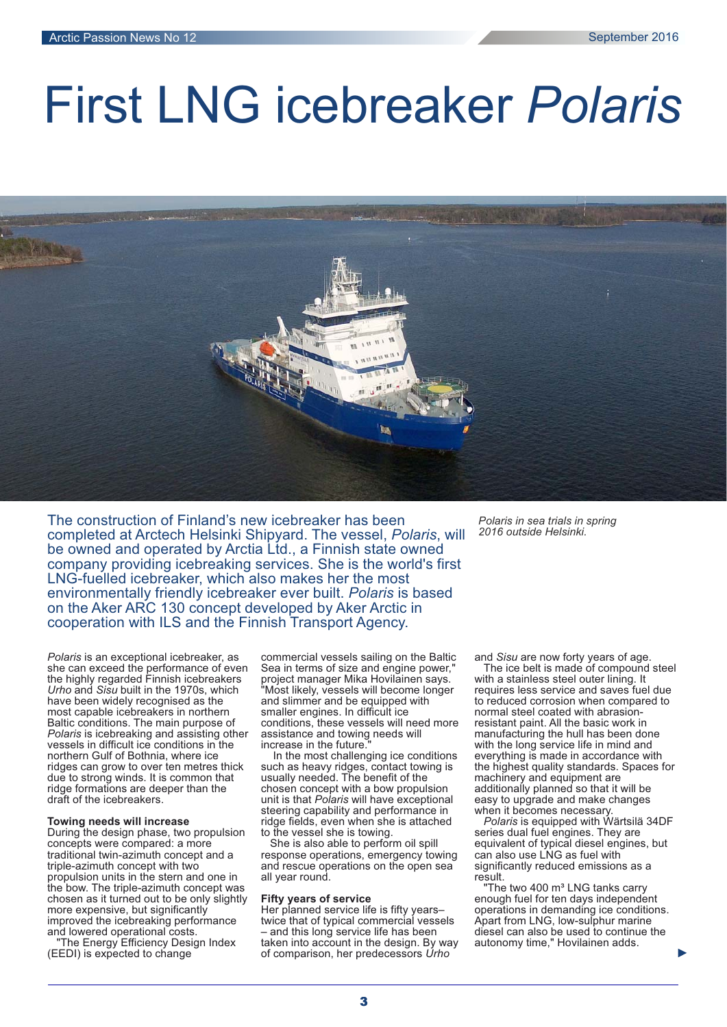# First LNG icebreaker *Polaris*



The construction of Finland's new icebreaker has been completed at Arctech Helsinki Shipyard. The vessel, Polaris, will be owned and operated by Arctia Ltd., a Finnish state owned company providing icebreaking services. She is the world's first LNG-fuelled icebreaker, which also makes her the most environmentally friendly icebreaker ever built. Polaris is based on the Aker ARC 130 concept developed by Aker Arctic in cooperation with ILS and the Finnish Transport Agency.

*Polaris* is an exceptional icebreaker, as she can exceed the performance of even the highly regarded Finnish icebreakers *Urho and Sisu built in the 1970s, which* have been widely recognised as the most capable icebreakers in northern Baltic conditions. The main purpose of *Polaris* is icebreaking and assisting other vessels in difficult ice conditions in the northern Gulf of Bothnia, where ice ridges can grow to over ten metres thick due to strong winds. It is common that ridge formations are deeper than the draft of the icebreakers.

# **Towing needs will increase**

During the design phase, two propulsion concepts were compared: a more traditional twin-azimuth concept and a triple-azimuth concept with two propulsion units in the stern and one in the bow. The triple-azimuth concept was chosen as it turned out to be only slightly more expensive, but significantly improved the icebreaking performance and lowered operational costs.

"The Energy Efficiency Design Index (EEDI) is expected to change

commercial vessels sailing on the Baltic Sea in terms of size and engine power, project manager Mika Hovilainen says. "Most likely, vessels will become longer and slimmer and be equipped with smaller engines. In difficult ice conditions, these vessels will need more assistance and towing needs will increase in the future.

In the most challenging ice conditions such as heavy ridges, contact towing is usually needed. The benefit of the chosen concept with a bow propulsion unit is that Polaris will have exceptional steering capability and performance in ridge fields, even when she is attached to the vessel she is towing.

She is also able to perform oil spill response operations, emergency towing and rescue operations on the open sea all year round.

## **Fifty years of service**

Her planned service life is fifty years– twice that of typical commercial vessels – and this long service life has been taken into account in the design. By way of comparison, her predecessors *Urho*

*Polaris in sea trials in spring 2016 outside Helsinki.*

and Sisu are now forty years of age.

The ice belt is made of compound steel with a stainless steel outer lining. It requires less service and saves fuel due to reduced corrosion when compared to normal steel coated with abrasionresistant paint. All the basic work in manufacturing the hull has been done with the long service life in mind and everything is made in accordance with the highest quality standards. Spaces for machinery and equipment are additionally planned so that it will be easy to upgrade and make changes when it becomes necessary.

*Polaris* is equipped with Wärtsilä 34DF series dual fuel engines. They are equivalent of typical diesel engines, but can also use LNG as fuel with significantly reduced emissions as a result.

"The two 400 m<sup>3</sup> LNG tanks carry enough fuel for ten days independent operations in demanding ice conditions. Apart from LNG, low-sulphur marine diesel can also be used to continue the autonomy time," Hovilainen adds.